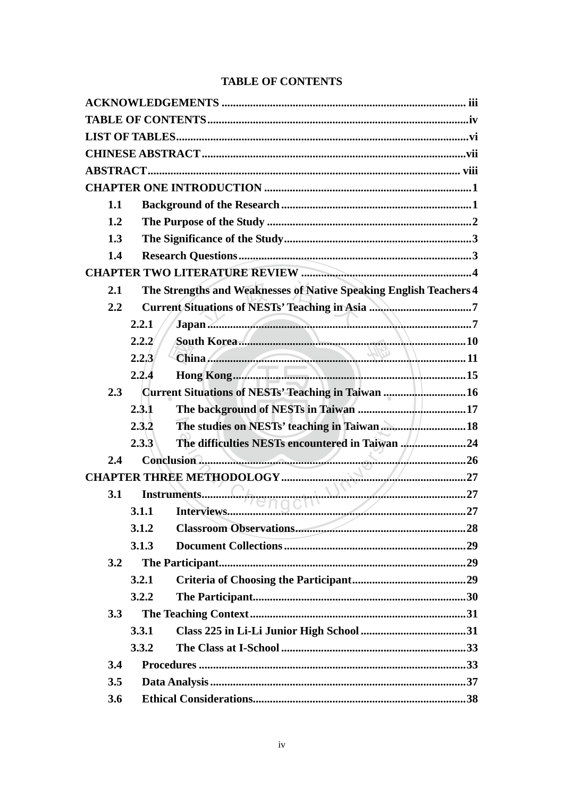## **TABLE OF CONTENTS**

| 1.1 |       |                                                                    |  |
|-----|-------|--------------------------------------------------------------------|--|
| 1.2 |       |                                                                    |  |
| 1.3 |       |                                                                    |  |
| 1.4 |       |                                                                    |  |
|     |       |                                                                    |  |
| 2.1 |       | The Strengths and Weaknesses of Native Speaking English Teachers 4 |  |
| 2.2 |       |                                                                    |  |
|     | 2.2.1 |                                                                    |  |
|     | 2.2.2 |                                                                    |  |
|     | 2.2.3 |                                                                    |  |
|     | 2.2.4 |                                                                    |  |
| 2.3 |       | Current Situations of NESTs' Teaching in Taiwan  16                |  |
|     | 2.3.1 |                                                                    |  |
|     | 2.3.2 | The studies on NESTs' teaching in Taiwan 18                        |  |
|     | 2.3.3 | The difficulties NESTs encountered in Taiwan 24                    |  |
| 2.4 |       |                                                                    |  |
|     |       |                                                                    |  |
|     |       |                                                                    |  |
|     |       |                                                                    |  |
|     | 3.1.2 | the contract of the contract of the contract of                    |  |
|     | 3.1.3 |                                                                    |  |
| 3.2 |       |                                                                    |  |
|     | 3.2.1 |                                                                    |  |
|     | 3.2.2 |                                                                    |  |
| 3.3 |       |                                                                    |  |
|     | 3.3.1 |                                                                    |  |
|     | 3.3.2 |                                                                    |  |
| 3.4 |       |                                                                    |  |
| 3.5 |       |                                                                    |  |
| 3.6 |       |                                                                    |  |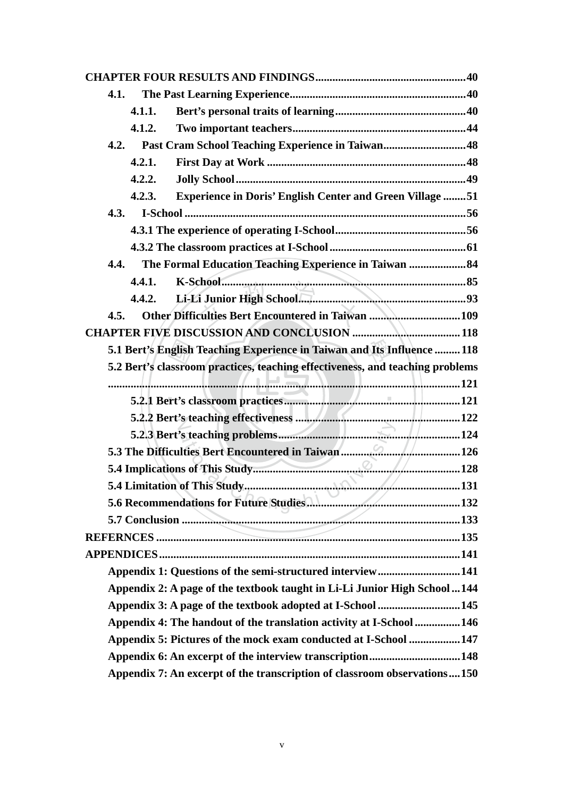| 4.1. |        |                                                                               |  |
|------|--------|-------------------------------------------------------------------------------|--|
|      | 4.1.1. |                                                                               |  |
|      | 4.1.2. |                                                                               |  |
| 4.2. |        | Past Cram School Teaching Experience in Taiwan48                              |  |
|      | 4.2.1. |                                                                               |  |
|      | 4.2.2. |                                                                               |  |
|      | 4.2.3. | <b>Experience in Doris' English Center and Green Village 51</b>               |  |
| 4.3. |        |                                                                               |  |
|      |        |                                                                               |  |
|      |        |                                                                               |  |
| 4.4. |        | The Formal Education Teaching Experience in Taiwan 84                         |  |
|      | 4.4.1. |                                                                               |  |
|      | 4.4.2. |                                                                               |  |
| 4.5. |        | Other Difficulties Bert Encountered in Taiwan 109                             |  |
|      |        |                                                                               |  |
|      |        | 5.1 Bert's English Teaching Experience in Taiwan and Its Influence  118       |  |
|      |        | 5.2 Bert's classroom practices, teaching effectiveness, and teaching problems |  |
|      |        |                                                                               |  |
|      |        |                                                                               |  |
|      |        |                                                                               |  |
|      |        |                                                                               |  |
|      |        |                                                                               |  |
|      |        |                                                                               |  |
|      |        |                                                                               |  |
|      |        |                                                                               |  |
|      |        |                                                                               |  |
|      |        |                                                                               |  |
|      |        |                                                                               |  |
|      |        | Appendix 1: Questions of the semi-structured interview141                     |  |
|      |        | Appendix 2: A page of the textbook taught in Li-Li Junior High School  144    |  |
|      |        | Appendix 3: A page of the textbook adopted at I-School  145                   |  |
|      |        | Appendix 4: The handout of the translation activity at I-School  146          |  |
|      |        | Appendix 5: Pictures of the mock exam conducted at I-School 147               |  |
|      |        |                                                                               |  |
|      |        | Appendix 7: An excerpt of the transcription of classroom observations150      |  |